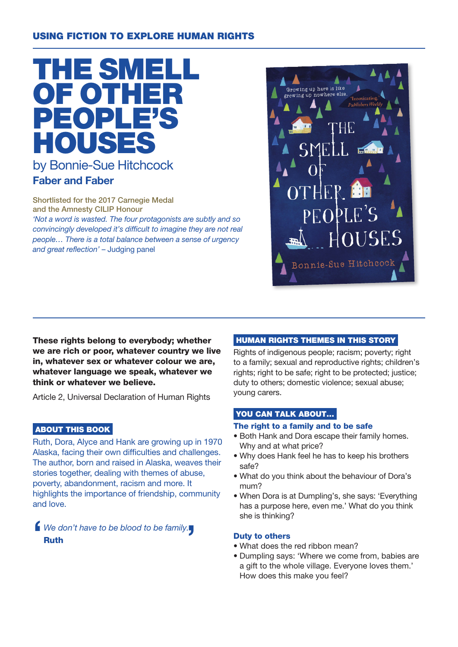# USING FICTION TO EXPLORE HUMAN RIGHTS



# Faber and Faber

Shortlisted for the 2017 Carnegie Medal and the Amnesty CILIP Honour 'Not a word is wasted. The four protagonists are subtly and so

convincingly developed it's difficult to imagine they are not real people… There is a total balance between a sense of urgency and great reflection' – Judging panel



These rights belong to everybody; whether we are rich or poor, whatever country we live in, whatever sex or whatever colour we are, whatever language we speak, whatever we think or whatever we believe.

Article 2, Universal Declaration of Human Rights

## ABOUT THIS BOOK

Ruth, Dora, Alyce and Hank are growing up in 1970 Alaska, facing their own difficulties and challenges. The author, born and raised in Alaska, weaves their stories together, dealing with themes of abuse, poverty, abandonment, racism and more. It highlights the importance of friendship, community and love.

If We don't have to be blood to be family. Ruth

## HUMAN RIGHTS THEMES IN THIS STORY

Rights of indigenous people; racism; poverty; right to a family; sexual and reproductive rights; children's rights; right to be safe; right to be protected; justice; duty to others; domestic violence; sexual abuse; young carers.

# YOU CAN TALK ABOUT...

#### The right to a family and to be safe

- Both Hank and Dora escape their family homes. Why and at what price?
- Why does Hank feel he has to keep his brothers safe?
- What do you think about the behaviour of Dora's mum?
- When Dora is at Dumpling's, she says: 'Everything has a purpose here, even me.' What do you think she is thinking?

## Duty to others

- What does the red ribbon mean?
- Dumpling says: 'Where we come from, babies are a gift to the whole village. Everyone loves them.' How does this make you feel?